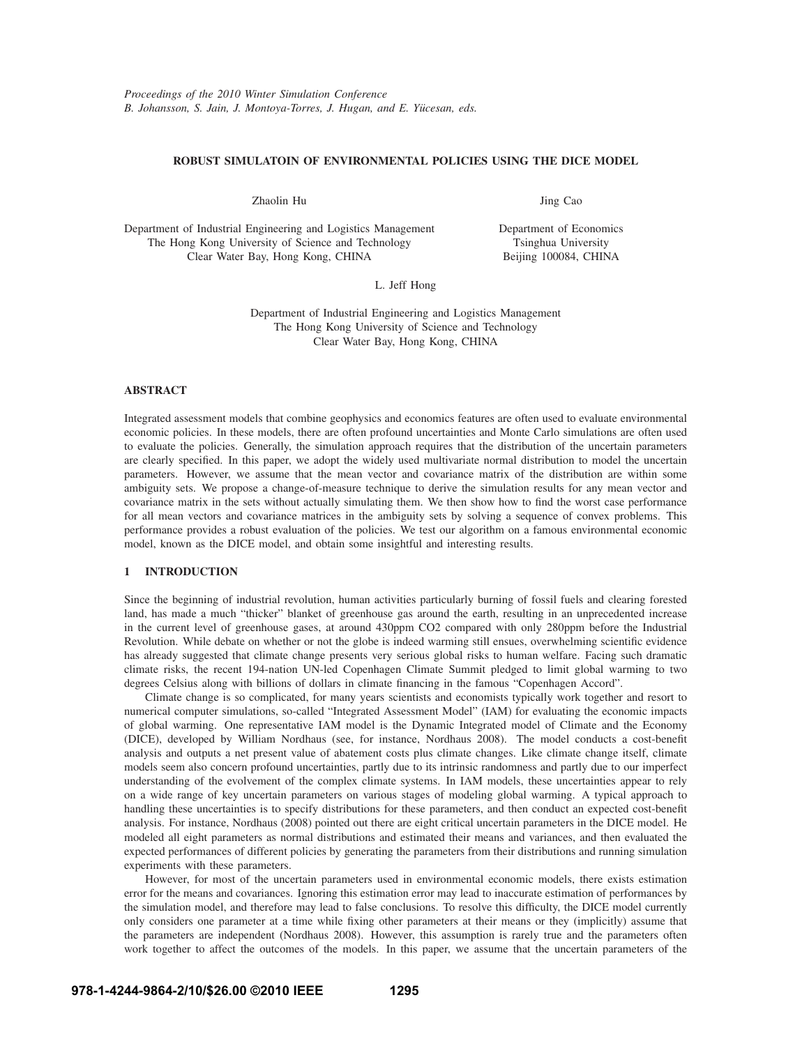# **ROBUST SIMULATOIN OF ENVIRONMENTAL POLICIES USING THE DICE MODEL**

Zhaolin Hu

Department of Industrial Engineering and Logistics Management The Hong Kong University of Science and Technology Clear Water Bay, Hong Kong, CHINA

Jing Cao

Department of Economics Tsinghua University Beijing 100084, CHINA

L. Jeff Hong

Department of Industrial Engineering and Logistics Management The Hong Kong University of Science and Technology Clear Water Bay, Hong Kong, CHINA

# **ABSTRACT**

Integrated assessment models that combine geophysics and economics features are often used to evaluate environmental economic policies. In these models, there are often profound uncertainties and Monte Carlo simulations are often used to evaluate the policies. Generally, the simulation approach requires that the distribution of the uncertain parameters are clearly specified. In this paper, we adopt the widely used multivariate normal distribution to model the uncertain parameters. However, we assume that the mean vector and covariance matrix of the distribution are within some ambiguity sets. We propose a change-of-measure technique to derive the simulation results for any mean vector and covariance matrix in the sets without actually simulating them. We then show how to find the worst case performance for all mean vectors and covariance matrices in the ambiguity sets by solving a sequence of convex problems. This performance provides a robust evaluation of the policies. We test our algorithm on a famous environmental economic model, known as the DICE model, and obtain some insightful and interesting results.

# **1 INTRODUCTION**

Since the beginning of industrial revolution, human activities particularly burning of fossil fuels and clearing forested land, has made a much "thicker" blanket of greenhouse gas around the earth, resulting in an unprecedented increase in the current level of greenhouse gases, at around 430ppm CO2 compared with only 280ppm before the Industrial Revolution. While debate on whether or not the globe is indeed warming still ensues, overwhelming scientific evidence has already suggested that climate change presents very serious global risks to human welfare. Facing such dramatic climate risks, the recent 194-nation UN-led Copenhagen Climate Summit pledged to limit global warming to two degrees Celsius along with billions of dollars in climate financing in the famous "Copenhagen Accord".

Climate change is so complicated, for many years scientists and economists typically work together and resort to numerical computer simulations, so-called "Integrated Assessment Model" (IAM) for evaluating the economic impacts of global warming. One representative IAM model is the Dynamic Integrated model of Climate and the Economy (DICE), developed by William Nordhaus (see, for instance, Nordhaus 2008). The model conducts a cost-benefit analysis and outputs a net present value of abatement costs plus climate changes. Like climate change itself, climate models seem also concern profound uncertainties, partly due to its intrinsic randomness and partly due to our imperfect understanding of the evolvement of the complex climate systems. In IAM models, these uncertainties appear to rely on a wide range of key uncertain parameters on various stages of modeling global warming. A typical approach to handling these uncertainties is to specify distributions for these parameters, and then conduct an expected cost-benefit analysis. For instance, Nordhaus (2008) pointed out there are eight critical uncertain parameters in the DICE model. He modeled all eight parameters as normal distributions and estimated their means and variances, and then evaluated the expected performances of different policies by generating the parameters from their distributions and running simulation experiments with these parameters.

However, for most of the uncertain parameters used in environmental economic models, there exists estimation error for the means and covariances. Ignoring this estimation error may lead to inaccurate estimation of performances by the simulation model, and therefore may lead to false conclusions. To resolve this difficulty, the DICE model currently only considers one parameter at a time while fixing other parameters at their means or they (implicitly) assume that the parameters are independent (Nordhaus 2008). However, this assumption is rarely true and the parameters often work together to affect the outcomes of the models. In this paper, we assume that the uncertain parameters of the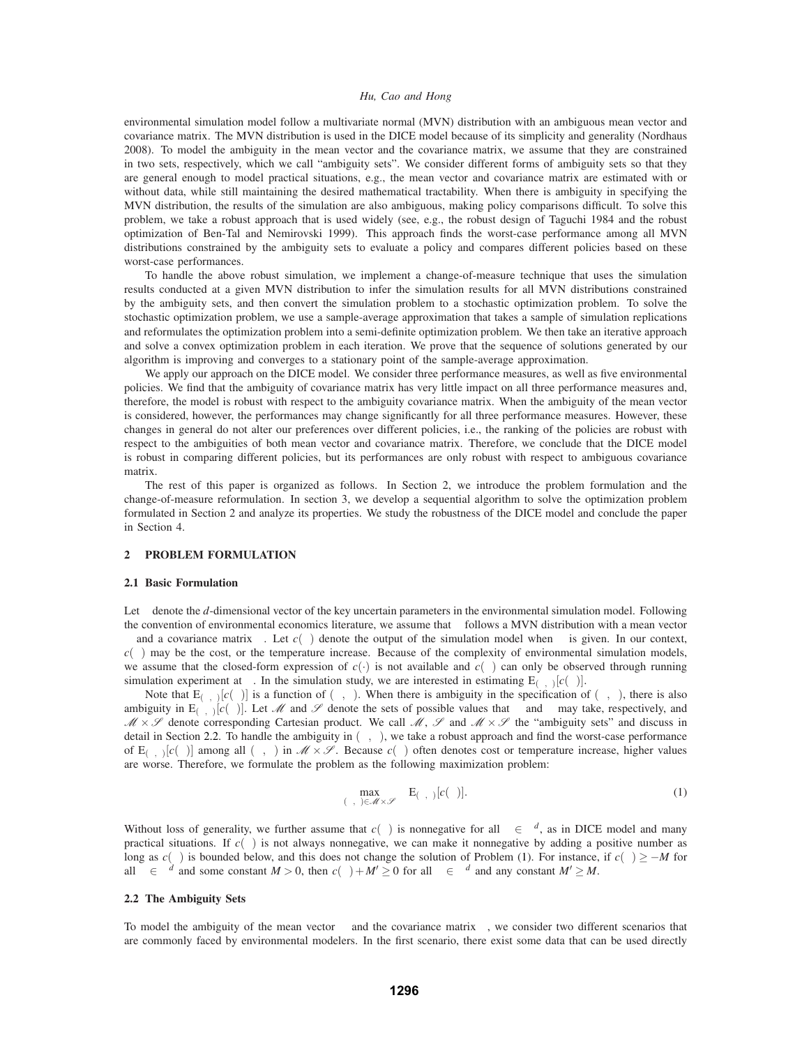environmental simulation model follow a multivariate normal (MVN) distribution with an ambiguous mean vector and covariance matrix. The MVN distribution is used in the DICE model because of its simplicity and generality (Nordhaus 2008). To model the ambiguity in the mean vector and the covariance matrix, we assume that they are constrained in two sets, respectively, which we call "ambiguity sets". We consider different forms of ambiguity sets so that they are general enough to model practical situations, e.g., the mean vector and covariance matrix are estimated with or without data, while still maintaining the desired mathematical tractability. When there is ambiguity in specifying the MVN distribution, the results of the simulation are also ambiguous, making policy comparisons difficult. To solve this problem, we take a robust approach that is used widely (see, e.g., the robust design of Taguchi 1984 and the robust optimization of Ben-Tal and Nemirovski 1999). This approach finds the worst-case performance among all MVN distributions constrained by the ambiguity sets to evaluate a policy and compares different policies based on these worst-case performances.

To handle the above robust simulation, we implement a change-of-measure technique that uses the simulation results conducted at a given MVN distribution to infer the simulation results for all MVN distributions constrained by the ambiguity sets, and then convert the simulation problem to a stochastic optimization problem. To solve the stochastic optimization problem, we use a sample-average approximation that takes a sample of simulation replications and reformulates the optimization problem into a semi-definite optimization problem. We then take an iterative approach and solve a convex optimization problem in each iteration. We prove that the sequence of solutions generated by our algorithm is improving and converges to a stationary point of the sample-average approximation.

We apply our approach on the DICE model. We consider three performance measures, as well as five environmental policies. We find that the ambiguity of covariance matrix has very little impact on all three performance measures and, therefore, the model is robust with respect to the ambiguity covariance matrix. When the ambiguity of the mean vector is considered, however, the performances may change significantly for all three performance measures. However, these changes in general do not alter our preferences over different policies, i.e., the ranking of the policies are robust with respect to the ambiguities of both mean vector and covariance matrix. Therefore, we conclude that the DICE model is robust in comparing different policies, but its performances are only robust with respect to ambiguous covariance matrix.

The rest of this paper is organized as follows. In Section 2, we introduce the problem formulation and the change-of-measure reformulation. In section 3, we develop a sequential algorithm to solve the optimization problem formulated in Section 2 and analyze its properties. We study the robustness of the DICE model and conclude the paper in Section 4.

# **2 PROBLEM FORMULATION**

#### **2.1 Basic Formulation**

Let ξ denote the *d*-dimensional vector of the key uncertain parameters in the environmental simulation model. Following the convention of environmental economics literature, we assume that ξ follows a MVN distribution with a mean vector  $\mu$  and a covariance matrix Σ. Let  $c(\xi)$  denote the output of the simulation model when  $\xi$  is given. In our context,  $c(\xi)$  may be the cost, or the temperature increase. Because of the complexity of environmental simulation models, we assume that the closed-form expression of  $c(\cdot)$  is not available and  $c(\xi)$  can only be observed through running simulation experiment at ξ. In the simulation study, we are interested in estimating  $E_{(μ,Σ)}[c(ξ)]$ .

Note that  $E_{(u,\Sigma)}[c(\xi)]$  is a function of  $(\mu,\Sigma)$ . When there is ambiguity in the specification of  $(\mu,\Sigma)$ , there is also ambiguity in  $E_{(\mu,\Sigma)}[c(\xi)]$ . Let M and S denote the sets of possible values that  $\mu$  and  $\Sigma$  may take, respectively, and  $M \times S$  denote corresponding Cartesian product. We call  $M$ , S and  $M \times S$  the "ambiguity sets" and discuss in detail in Section 2.2. To handle the ambiguity in  $(\mu, \Sigma)$ , we take a robust approach and find the worst-case performance of  $E_{(\mu,\Sigma)}[c(\xi)]$  among all  $(\mu,\Sigma)$  in  $\mathscr{M}\times\mathscr{S}$ . Because  $c(\xi)$  often denotes cost or temperature increase, higher values are worse. Therefore, we formulate the problem as the following maximization problem:

$$
\max_{(\mu,\Sigma)\in\mathcal{M}\times\mathcal{S}} \quad E_{(\mu,\Sigma)}[c(\xi)].\tag{1}
$$

Without loss of generality, we further assume that  $c(\xi)$  is nonnegative for all  $\xi \in \mathbb{R}^d$ , as in DICE model and many practical situations. If  $c(\xi)$  is not always nonnegative, we can make it nonnegative by adding a positive number as long as  $c(\xi)$  is bounded below, and this does not change the solution of Problem (1). For instance, if  $c(\xi) \geq -M$  for all  $\xi \in \mathbb{R}^d$  and some constant  $M > 0$ , then  $c(\xi) + M' \geq 0$  for all  $\xi \in \mathbb{R}^d$  and any constant  $M' \geq M$ .

### **2.2 The Ambiguity Sets**

To model the ambiguity of the mean vector  $\mu$  and the covariance matrix  $\Sigma$ , we consider two different scenarios that are commonly faced by environmental modelers. In the first scenario, there exist some data that can be used directly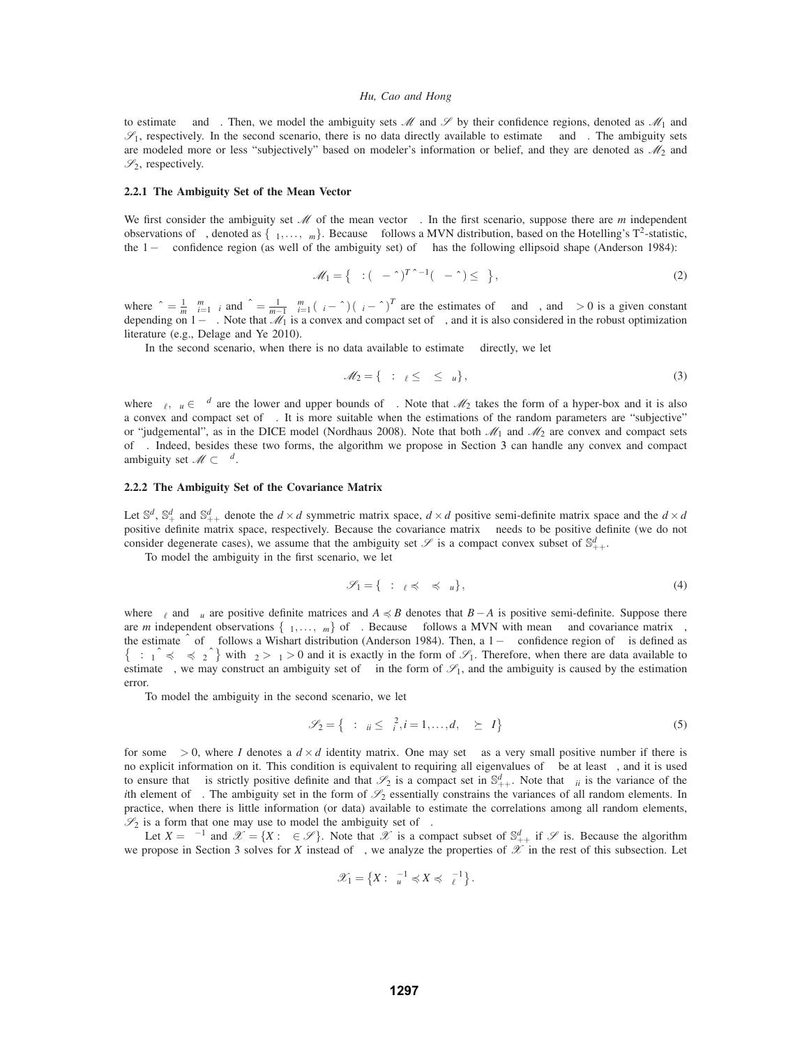to estimate  $\mu$  and  $\Sigma$ . Then, we model the ambiguity sets M and P by their confidence regions, denoted as M<sub>1</sub> and  $\mathscr{S}_1$ , respectively. In the second scenario, there is no data directly available to estimate  $\mu$  and  $\Sigma$ . The ambiguity sets are modeled more or less "subjectively" based on modeler's information or belief, and they are denoted as  $\mathcal{M}_2$  and  $\mathscr{S}_2$ , respectively.

### **2.2.1 The Ambiguity Set of the Mean Vector**

We first consider the ambiguity set  $\mathcal M$  of the mean vector  $\mu$ . In the first scenario, suppose there are *m* independent observations of ξ, denoted as  $\{\xi_1,\ldots,\xi_m\}$ . Because ξ follows a MVN distribution, based on the Hotelling's T<sup>2</sup>-statistic, the 1 –  $\alpha$  confidence region (as well of the ambiguity set) of  $\mu$  has the following ellipsoid shape (Anderson 1984):

$$
\mathcal{M}_1 = \left\{ \mu : (\mu - \hat{\mu})^T \hat{\Sigma}^{-1} (\mu - \hat{\mu}) \le \gamma \right\},\tag{2}
$$

where  $\hat{\mu} = \frac{1}{m} \sum_{i=1}^{m} \xi_i$  and  $\hat{\Sigma} = \frac{1}{m-1} \sum_{i=1}^{m} (\xi_i - \hat{\mu}) (\xi_i - \hat{\mu})^T$  are the estimates of  $\mu$  and  $\Sigma$ , and  $\gamma > 0$  is a given constant depending on  $1-\alpha$ . Note that  $\mathcal{M}_1$  is a convex and compact set of  $\mu$ , and it is also considered in the robust optimization literature (e.g., Delage and Ye 2010).

In the second scenario, when there is no data available to estimate  $\mu$  directly, we let

$$
\mathcal{M}_2 = \{ \mu : \mu_\ell \le \mu \le \mu_u \},\tag{3}
$$

where  $\mu_{\ell}, \mu_{\mu} \in \mathbb{R}^d$  are the lower and upper bounds of  $\mu$ . Note that  $\mathcal{M}_2$  takes the form of a hyper-box and it is also a convex and compact set of  $\mu$ . It is more suitable when the estimations of the random parameters are "subjective" or "judgemental", as in the DICE model (Nordhaus 2008). Note that both  $\mathcal{M}_1$  and  $\mathcal{M}_2$  are convex and compact sets of  $\mu$ . Indeed, besides these two forms, the algorithm we propose in Section 3 can handle any convex and compact ambiguity set  $\mathcal{M} \subset \mathbb{R}^d$ .

### **2.2.2 The Ambiguity Set of the Covariance Matrix**

Let  $\mathbb{S}^d$ ,  $\mathbb{S}^d_+$  and  $\mathbb{S}^d_{++}$  denote the  $d \times d$  symmetric matrix space,  $d \times d$  positive semi-definite matrix space and the  $d \times d$ positive definite matrix space, respectively. Because the covariance matrix  $\Sigma$  needs to be positive definite (we do not consider degenerate cases), we assume that the ambiguity set  $\mathscr S$  is a compact convex subset of  $\mathbb S^d_{++}$ .

To model the ambiguity in the first scenario, we let

$$
\mathcal{S}_1 = \{ \Sigma : \Sigma_{\ell} \preccurlyeq \Sigma \preccurlyeq \Sigma_u \},\tag{4}
$$

where  $\Sigma_{\ell}$  and  $\Sigma_{\mu}$  are positive definite matrices and  $A \preccurlyeq B$  denotes that  $B-A$  is positive semi-definite. Suppose there are *m* independent observations  $\{\xi_1,\ldots,\xi_m\}$  of  $\xi$ . Because  $\xi$  follows a MVN with mean  $\mu$  and covariance matrix  $\Sigma$ , the estimate  $\hat{\Sigma}$  of  $\Sigma$  follows a Wishart distribution (Anderson 1984). Then, a  $1-\alpha$  confidence region of  $\Sigma$  is defined as  $\{\Sigma : \gamma_1 \hat{\Sigma} \preccurlyeq \Sigma \preccurlyeq \gamma_2 \hat{\Sigma}\}\)$  with  $\gamma_2 > \gamma_1 > 0$  and it is exactly in the form of  $\mathscr{S}_1$ . Therefore, when there are data available to estimate Σ, we may construct an ambiguity set of Σ in the form of  $\mathscr{S}_1$ , and the ambiguity is caused by the estimation error.

To model the ambiguity in the second scenario, we let

$$
\mathcal{S}_2 = \{ \Sigma : \Sigma_{ii} \leq \sigma_i^2, i = 1, ..., d, \ \Sigma \succeq \varepsilon I \}
$$
 (5)

for some  $\varepsilon > 0$ , where *I* denotes a  $d \times d$  identity matrix. One may set  $\varepsilon$  as a very small positive number if there is no explicit information on it. This condition is equivalent to requiring all eigenvalues of Σ be at least  $ε$ , and it is used to ensure that  $\Sigma$  is strictly positive definite and that  $\mathscr{S}_2$  is a compact set in  $\mathbb{S}^d_{++}$ . Note that  $\Sigma_{ii}$  is the variance of the *i*th element of  $\xi$ . The ambiguity set in the form of  $\mathscr{S}_2$  essentially constrains the variances of all random elements. In practice, when there is little information (or data) available to estimate the correlations among all random elements,  $\mathscr{S}_2$  is a form that one may use to model the ambiguity set of  $\Sigma$ .

Let  $X = \Sigma^{-1}$  and  $\mathscr{X} = \{X : \Sigma \in \mathscr{S}\}\$ . Note that  $\mathscr{X}$  is a compact subset of  $\mathbb{S}_{++}^d$  if  $\mathscr{S}$  is. Because the algorithm we propose in Section 3 solves for *X* instead of  $\Sigma$ , we analyze the properties of  $\mathcal X$  in the rest of this subsection. Let

$$
\mathscr{X}_1 = \left\{ X : \Sigma_u^{-1} \preccurlyeq X \preccurlyeq \Sigma_\ell^{-1} \right\}.
$$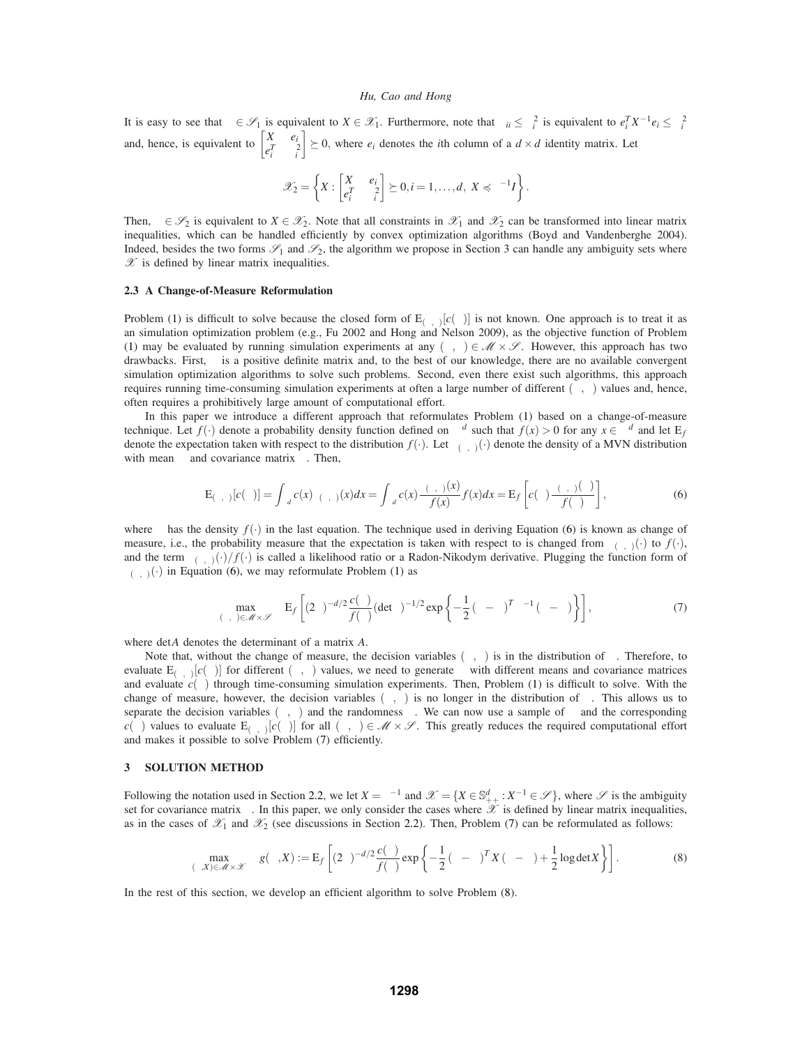It is easy to see that  $\Sigma \in \mathcal{S}_1$  is equivalent to  $X \in \mathcal{X}_1$ . Furthermore, note that  $\Sigma_{ii} \leq \sigma_i^2$  is equivalent to  $e_i^T X^{-1} e_i \leq \sigma_i^2$ and, hence, is equivalent to  $\begin{bmatrix} X & e_i \\ T & -X \end{bmatrix}$  $e_i^T$   $\sigma_i^2$  $\left[0 \geq 0\right]$ , where  $e_i$  denotes the *i*th column of a  $d \times d$  identity matrix. Let

$$
\mathscr{X}_2 = \left\{ X : \begin{bmatrix} X & e_i \\ e_i^T & \sigma_i^2 \end{bmatrix} \succeq 0, i = 1, \dots, d, \ X \preccurlyeq \varepsilon^{-1} I \right\}.
$$

Then,  $\Sigma \in \mathcal{S}_2$  is equivalent to  $X \in \mathcal{X}_2$ . Note that all constraints in  $\mathcal{X}_1$  and  $\mathcal{X}_2$  can be transformed into linear matrix inequalities, which can be handled efficiently by convex optimization algorithms (Boyd and Vandenberghe 2004). Indeed, besides the two forms  $\mathcal{S}_1$  and  $\mathcal{S}_2$ , the algorithm we propose in Section 3 can handle any ambiguity sets where  $\mathscr X$  is defined by linear matrix inequalities.

### **2.3 A Change-of-Measure Reformulation**

Problem (1) is difficult to solve because the closed form of  $E_{(\mu,\Sigma)}[c(\xi)]$  is not known. One approach is to treat it as an simulation optimization problem (e.g., Fu 2002 and Hong and Nelson 2009), as the objective function of Problem (1) may be evaluated by running simulation experiments at any  $(\mu, \Sigma) \in \mathcal{M} \times \mathcal{S}$ . However, this approach has two drawbacks. First, Σ is a positive definite matrix and, to the best of our knowledge, there are no available convergent simulation optimization algorithms to solve such problems. Second, even there exist such algorithms, this approach requires running time-consuming simulation experiments at often a large number of different  $(μ,Σ)$  values and, hence, often requires a prohibitively large amount of computational effort.

In this paper we introduce a different approach that reformulates Problem (1) based on a change-of-measure technique. Let  $f(\cdot)$  denote a probability density function defined on  $\Re^d$  such that  $f(x) > 0$  for any  $x \in \Re^d$  and let E<sub>f</sub> denote the expectation taken with respect to the distribution  $f(\cdot)$ . Let  $\phi_{(u,\Sigma)}(\cdot)$  denote the density of a MVN distribution with mean  $\mu$  and covariance matrix Σ. Then,

$$
\mathcal{E}_{(\mu,\Sigma)}[c(\xi)] = \int_{\Re^d} c(x)\phi_{(\mu,\Sigma)}(x)dx = \int_{\Re^d} c(x)\frac{\phi_{(\mu,\Sigma)}(x)}{f(x)}f(x)dx = \mathcal{E}_f\left[c(\xi)\frac{\phi_{(\mu,\Sigma)}(\xi)}{f(\xi)}\right],\tag{6}
$$

where  $\xi$  has the density  $f(\cdot)$  in the last equation. The technique used in deriving Equation (6) is known as change of measure, i.e., the probability measure that the expectation is taken with respect to is changed from  $\phi_{(u,\Sigma)}(\cdot)$  to  $f(\cdot)$ , and the term  $\phi_{(u,\Sigma)}(\cdot)/f(\cdot)$  is called a likelihood ratio or a Radon-Nikodym derivative. Plugging the function form of  $\phi_{(u,\Sigma)}(\cdot)$  in Equation (6), we may reformulate Problem (1) as

$$
\max_{(\mu,\Sigma)\in\mathscr{M}\times\mathscr{S}} \quad \mathbf{E}_f\left[ (2\pi)^{-d/2} \frac{c(\xi)}{f(\xi)} (\det \Sigma)^{-1/2} \exp\left\{-\frac{1}{2} (\xi-\mu)^T \Sigma^{-1} (\xi-\mu) \right\} \right],\tag{7}
$$

where det*A* denotes the determinant of a matrix *A*.

Note that, without the change of measure, the decision variables  $(\mu, \Sigma)$  is in the distribution of  $\xi$ . Therefore, to evaluate  $E_{(\mu,\Sigma)}[c(\xi)]$  for different  $(\mu,\Sigma)$  values, we need to generate  $\xi$  with different means and covariance matrices and evaluate  $c(\xi)$  through time-consuming simulation experiments. Then, Problem (1) is difficult to solve. With the change of measure, however, the decision variables  $(\mu, \Sigma)$  is no longer in the distribution of  $\xi$ . This allows us to separate the decision variables  $(\mu, \Sigma)$  and the randomness  $\xi$ . We can now use a sample of  $\xi$  and the corresponding *c*(ξ) values to evaluate  $E_{(\mu,\Sigma)}[c(\xi)]$  for all  $(\mu,\Sigma) \in \mathcal{M} \times \mathcal{S}$ . This greatly reduces the required computational effort and makes it possible to solve Problem (7) efficiently.

## **3 SOLUTION METHOD**

Following the notation used in Section 2.2, we let  $X = \Sigma^{-1}$  and  $\mathscr{X} = \{X \in \mathbb{S}_{++}^d : X^{-1} \in \mathscr{S}\}\,$ , where  $\mathscr{S}$  is the ambiguity set for covariance matrix  $\Sigma$ . In this paper, we only consider the cases where  $\mathcal X$  is defined by linear matrix inequalities, as in the cases of  $\mathscr{X}_1$  and  $\mathscr{X}_2$  (see discussions in Section 2.2). Then, Problem (7) can be reformulated as follows:

$$
\max_{(\mu,X)\in\mathscr{M}\times\mathscr{X}} g(\mu,X) := \mathrm{E}_f\left[ (2\pi)^{-d/2} \frac{c(\xi)}{f(\xi)} \exp\left\{-\frac{1}{2}(\xi-\mu)^T X(\xi-\mu) + \frac{1}{2}\log\det X\right\}\right].\tag{8}
$$

In the rest of this section, we develop an efficient algorithm to solve Problem (8).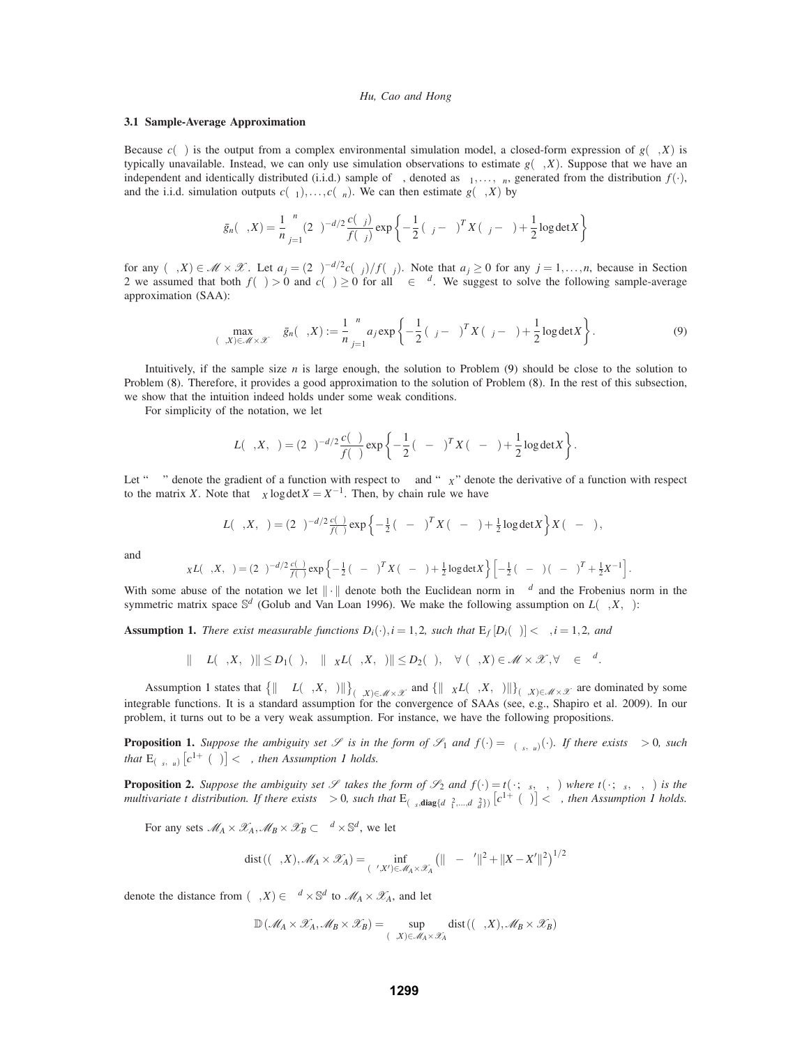# **3.1 Sample-Average Approximation**

Because  $c(\xi)$  is the output from a complex environmental simulation model, a closed-form expression of  $g(\mu, X)$  is typically unavailable. Instead, we can only use simulation observations to estimate  $g(\mu, X)$ . Suppose that we have an independent and identically distributed (i.i.d.) sample of  $\xi$ , denoted as  $\xi_1,\ldots,\xi_n$ , generated from the distribution  $f(\cdot)$ , and the i.i.d. simulation outputs  $c(\xi_1), \ldots, c(\xi_n)$ . We can then estimate  $g(\mu, X)$  by

$$
\bar{g}_n(\mu, X) = \frac{1}{n} \sum_{j=1}^n (2\pi)^{-d/2} \frac{c(\xi_j)}{f(\xi_j)} \exp \left\{-\frac{1}{2} (\xi_j - \mu)^T X (\xi_j - \mu) + \frac{1}{2} \log \det X\right\}
$$

for any  $(\mu, X) \in \mathcal{M} \times \mathcal{X}$ . Let  $a_j = (2\pi)^{-d/2} c(\xi_j)/f(\xi_j)$ . Note that  $a_j \ge 0$  for any  $j = 1, \ldots, n$ , because in Section 2 we assumed that both  $f(\xi) > 0$  and  $c(\xi) \ge 0$  for all  $\xi \in \Re^d$ . We suggest to solve the following sample-average approximation (SAA):

$$
\max_{(\mu,X)\in\mathcal{M}\times\mathcal{X}} \quad \bar{g}_n(\mu,X) := \frac{1}{n}\sum_{j=1}^n a_j \exp\left\{-\frac{1}{2}\left(\xi_j-\mu\right)^T X \left(\xi_j-\mu\right) + \frac{1}{2}\log\det X\right\}.
$$
\n(9)

Intuitively, if the sample size *n* is large enough, the solution to Problem (9) should be close to the solution to Problem (8). Therefore, it provides a good approximation to the solution of Problem (8). In the rest of this subsection, we show that the intuition indeed holds under some weak conditions.

For simplicity of the notation, we let

$$
L(\mu, X, \xi) = (2\pi)^{-d/2} \frac{c(\xi)}{f(\xi)} \exp \left\{-\frac{1}{2}(\xi - \mu)^T X (\xi - \mu) + \frac{1}{2} \log \det X\right\}.
$$

Let " $\nabla_\mu$ " denote the gradient of a function with respect to  $\mu$  and " $\nabla_X$ " denote the derivative of a function with respect to the matrix *X*. Note that  $\nabla_X \log \det X = X^{-1}$ . Then, by chain rule we have

$$
\nabla_{\mu} L(\mu, X, \xi) = (2\pi)^{-d/2} \frac{c(\xi)}{f(\xi)} \exp \left\{-\frac{1}{2} \left(\xi - \mu\right)^T X \left(\xi - \mu\right) + \frac{1}{2} \log \det X\right\} X \left(\xi - \mu\right),
$$

and

$$
\nabla_X L(\mu, X, \xi) = (2\pi)^{-d/2} \frac{c(\xi)}{f(\xi)} \exp\left\{-\frac{1}{2}(\xi - \mu)^T X(\xi - \mu) + \frac{1}{2} \log \det X\right\} \left[-\frac{1}{2}(\xi - \mu) (\xi - \mu)^T + \frac{1}{2} X^{-1}\right].
$$

With some abuse of the notation we let  $\|\cdot\|$  denote both the Euclidean norm in  $\mathfrak{R}^d$  and the Frobenius norm in the symmetric matrix space  $\mathbb{S}^d$  (Golub and Van Loan 1996). We make the following assumption on  $L(\mu, X, \xi)$ :

**Assumption 1.** *There exist measurable functions*  $D_i(\cdot), i = 1, 2$ *, such that*  $E_f[D_i(\xi)] < \infty, i = 1, 2$ *, and* 

$$
\|\nabla_{\mu}L(\mu,X,\xi)\| \le D_1(\xi), \quad \|\nabla_X L(\mu,X,\xi)\| \le D_2(\xi), \quad \forall \ (\mu,X) \in \mathscr{M} \times \mathscr{X}, \forall \ \xi \in \mathfrak{R}^d.
$$

Assumption 1 states that  $\{\|\nabla_{\mu}L(\mu,X,\xi)\|\}_{(\mu,X)\in\mathcal{M}\times\mathcal{X}}$  and  $\{\|\nabla_{X}L(\mu,X,\xi)\|\}_{(\mu,X)\in\mathcal{M}\times\mathcal{X}}$  are dominated by some integrable functions. It is a standard assumption for the convergence of SAAs (see, e.g., Shapiro et al. 2009). In our problem, it turns out to be a very weak assumption. For instance, we have the following propositions.

**Proposition 1.** *Suppose the ambiguity set*  $\mathscr S$  *is in the form of*  $\mathscr S_1$  *and*  $f(\cdot) = \phi_{(\mu_s, \Sigma_u)}(\cdot)$ *. If there exists*  $\gamma > 0$ *, such*  $\text{that } E_{(\mu_s, \Sigma_u)}\left[c^{1+\gamma}(\xi)\right] < \infty$ , then Assumption 1 holds.

**Proposition 2.** Suppose the ambiguity set  $\mathscr S$  *takes the form of*  $\mathscr S_2$  *and*  $f(\cdot) = t(\cdot;\mu_s,\Pi,v)$  *where*  $t(\cdot;\mu_s,\Pi,v)$  *is the multivariate t distribution. If there exists*  $\gamma > 0$ , such that  $E_{(\mu_s,\text{diag}\{d\sigma_1^2,...,d\sigma_d^2\})}[c^{1+\gamma}(\xi)] < \infty$ , then Assumption 1 holds.

For any sets  $\mathcal{M}_A \times \mathcal{X}_A$ ,  $\mathcal{M}_B \times \mathcal{X}_B \subset \mathbb{R}^d \times \mathbb{S}^d$ , we let

dist
$$
((\mu, X), \mathcal{M}_A \times \mathcal{X}_A)
$$
 =  $\inf_{(\mu', X') \in \mathcal{M}_A \times \mathcal{X}_A} (||\mu - \mu'||^2 + ||X - X'||^2)^{1/2}$ 

denote the distance from  $(\mu, X) \in \mathbb{R}^d \times \mathbb{S}^d$  to  $\mathcal{M}_A \times \mathcal{X}_A$ , and let

$$
\mathbb{D}(\mathscr{M}_A \times \mathscr{X}_A, \mathscr{M}_B \times \mathscr{X}_B) = \sup_{(\mu, X) \in \mathscr{M}_A \times \mathscr{X}_A} \text{dist}((\mu, X), \mathscr{M}_B \times \mathscr{X}_B)
$$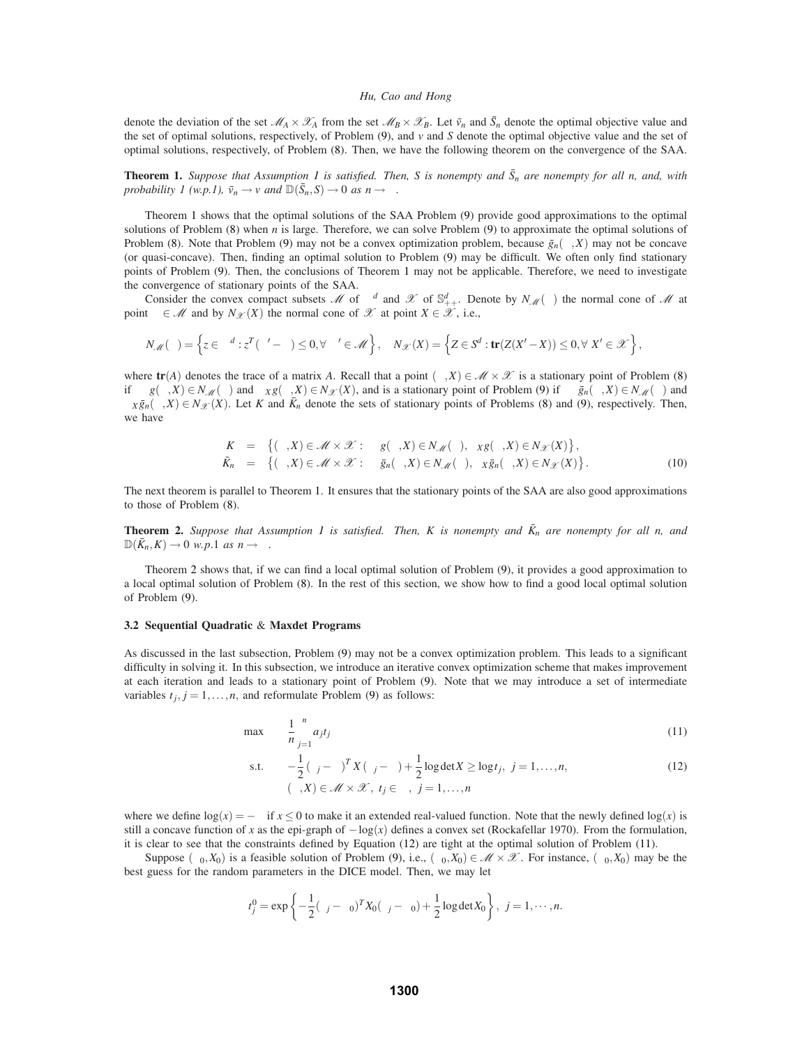denote the deviation of the set  $\mathcal{M}_A \times \mathcal{X}_A$  from the set  $\mathcal{M}_B \times \mathcal{X}_B$ . Let  $\bar{v}_n$  and  $\bar{S}_n$  denote the optimal objective value and the set of optimal solutions, respectively, of Problem (9), and *v* and *S* denote the optimal objective value and the set of optimal solutions, respectively, of Problem (8). Then, we have the following theorem on the convergence of the SAA.

**Theorem 1.** Suppose that Assumption 1 is satisfied. Then, S is nonempty and  $\bar{S}_n$  are nonempty for all n, and, with *probability 1 (w.p.1),*  $\bar{v}_n \to v$  *and*  $\mathbb{D}(\bar{S}_n, S) \to 0$  *as*  $n \to \infty$ *.* 

Theorem 1 shows that the optimal solutions of the SAA Problem (9) provide good approximations to the optimal solutions of Problem (8) when *n* is large. Therefore, we can solve Problem (9) to approximate the optimal solutions of Problem (8). Note that Problem (9) may not be a convex optimization problem, because  $\bar{g}_n(\mu, X)$  may not be concave (or quasi-concave). Then, finding an optimal solution to Problem (9) may be difficult. We often only find stationary points of Problem (9). Then, the conclusions of Theorem 1 may not be applicable. Therefore, we need to investigate the convergence of stationary points of the SAA.

Consider the convex compact subsets M of  $\mathbb{R}^d$  and  $\mathscr{X}$  of  $\mathbb{S}^d_{++}$ . Denote by  $N_{\mathscr{M}}(\mu)$  the normal cone of M at point  $\mu \in \mathcal{M}$  and by  $N_{\mathcal{X}}(X)$  the normal cone of  $\mathcal{X}$  at point  $X \in \mathcal{X}$ , i.e.,

$$
N_{\mathscr{M}}(\mu) = \left\{ z \in \mathfrak{R}^d : z^T(\mu' - \mu) \le 0, \forall \mu' \in \mathscr{M} \right\}, \quad N_{\mathscr{X}}(X) = \left\{ Z \in \mathcal{S}^d : \text{tr}(Z(X' - X)) \le 0, \forall X' \in \mathscr{X} \right\},
$$

where  $tr(A)$  denotes the trace of a matrix *A*. Recall that a point  $(\mu, X) \in \mathcal{M} \times \mathcal{X}$  is a stationary point of Problem (8) if  $\nabla_{\mu} g(\mu, X) \in N_M(\mu)$  and  $\nabla_X g(\mu, X) \in N_{\mathcal{X}}(X)$ , and is a stationary point of Problem (9) if  $\nabla_{\mu} \bar{g}_n(\mu, X) \in N_M(\mu)$  and  $\nabla_X \overline{g}_n(\mu, X) \in N_{\mathcal{X}}(X)$ . Let *K* and  $\overline{K}_n$  denote the sets of stationary points of Problems (8) and (9), respectively. Then, we have

$$
K = \{ (\mu, X) \in \mathcal{M} \times \mathcal{X} : \nabla_{\mu} g(\mu, X) \in N_{\mathcal{M}}(\mu), \nabla_{X} g(\mu, X) \in N_{\mathcal{X}}(X) \},
$$
  
\n
$$
\bar{K}_{n} = \{ (\mu, X) \in \mathcal{M} \times \mathcal{X} : \nabla_{\mu} \bar{g}_{n}(\mu, X) \in N_{\mathcal{M}}(\mu), \nabla_{X} \bar{g}_{n}(\mu, X) \in N_{\mathcal{X}}(X) \}.
$$
\n(10)

The next theorem is parallel to Theorem 1. It ensures that the stationary points of the SAA are also good approximations to those of Problem (8).

**Theorem 2.** Suppose that Assumption 1 is satisfied. Then, K is nonempty and  $\bar{K}_n$  are nonempty for all n, and  $\mathbb{D}(\bar{K}_n, K) \to 0$  *w.p.*1 *as*  $n \to \infty$ .

Theorem 2 shows that, if we can find a local optimal solution of Problem (9), it provides a good approximation to a local optimal solution of Problem (8). In the rest of this section, we show how to find a good local optimal solution of Problem (9).

### **3.2 Sequential Quadratic** & **Maxdet Programs**

As discussed in the last subsection, Problem (9) may not be a convex optimization problem. This leads to a significant difficulty in solving it. In this subsection, we introduce an iterative convex optimization scheme that makes improvement at each iteration and leads to a stationary point of Problem (9). Note that we may introduce a set of intermediate variables  $t_j$ ,  $j = 1, ..., n$ , and reformulate Problem (9) as follows:

$$
\max \qquad \frac{1}{n} \sum_{j=1}^{n} a_j t_j \tag{11}
$$

s.t. 
$$
-\frac{1}{2}(\xi_j - \mu)^T X (\xi_j - \mu) + \frac{1}{2} \log \det X \ge \log t_j, \ j = 1, ..., n,
$$
  
( $\mu, X$ )  $\in \mathcal{M} \times \mathcal{X}, \ t_j \in \mathfrak{R}, \ j = 1, ..., n$  (12)

where we define  $\log(x) = -\infty$  if  $x \le 0$  to make it an extended real-valued function. Note that the newly defined  $\log(x)$  is still a concave function of *x* as the epi-graph of −log(*x*) defines a convex set (Rockafellar 1970). From the formulation, it is clear to see that the constraints defined by Equation (12) are tight at the optimal solution of Problem (11).

Suppose  $(\mu_0, X_0)$  is a feasible solution of Problem (9), i.e.,  $(\mu_0, X_0) \in \mathcal{M} \times \mathcal{X}$ . For instance,  $(\mu_0, X_0)$  may be the best guess for the random parameters in the DICE model. Then, we may let

$$
t_j^0 = \exp\left\{-\frac{1}{2}(\xi_j - \mu_0)^T X_0(\xi_j - \mu_0) + \frac{1}{2}\log \det X_0\right\}, \ \ j = 1, \cdots, n.
$$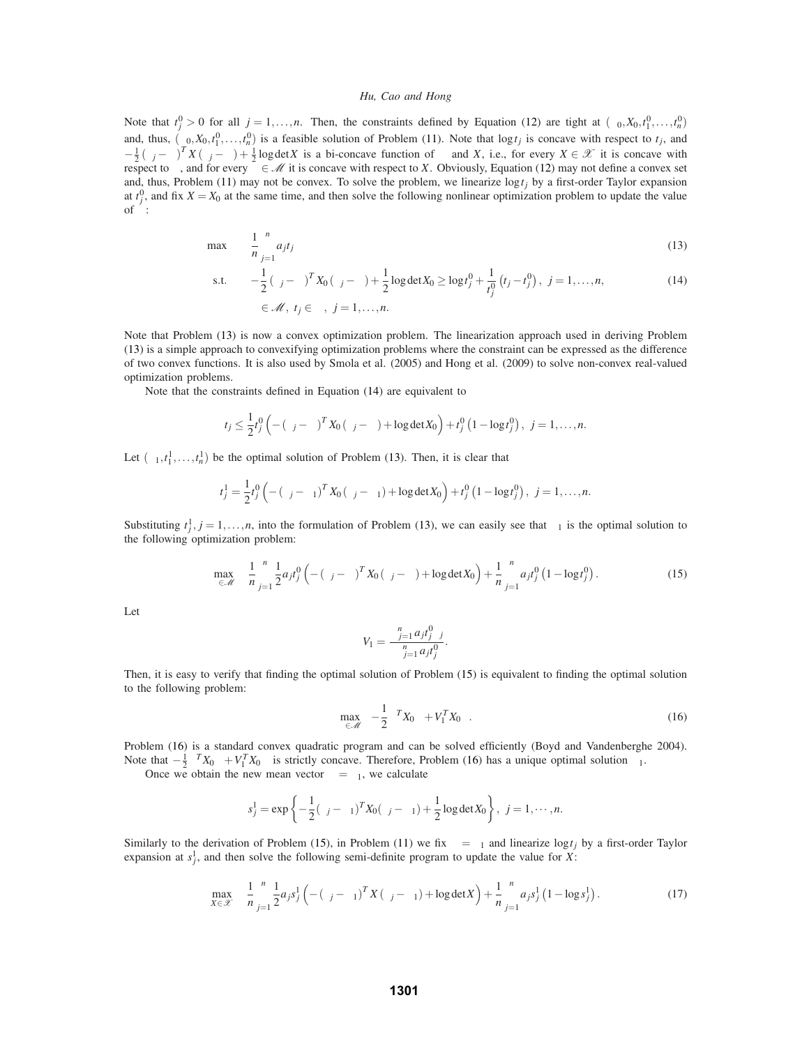Note that  $t_j^0 > 0$  for all  $j = 1, ..., n$ . Then, the constraints defined by Equation (12) are tight at  $(\mu_0, X_0, t_1^0, \ldots, t_n^0)$ and, thus,  $(\mu_0, X_0, t_1^0, \ldots, t_n^0)$  is a feasible solution of Problem (11). Note that  $\log t_j$  is concave with respect to  $t_j$ , and  $-\frac{1}{2}(\xi_j - \mu)^T X (\xi_j - \mu) + \frac{1}{2} \log \det X$  is a bi-concave function of  $\mu$  and X, i.e., for every  $X \in \mathcal{X}$  it is concave with respect to  $\mu$ , and for every  $\mu \in \mathcal{M}$  it is concave with respect to *X*. Obviously, Equation (12) may not define a convex set and, thus, Problem  $(11)$  may not be convex. To solve the problem, we linearize  $\log t_i$  by a first-order Taylor expansion at  $t_j^0$ , and fix  $X = X_0$  at the same time, and then solve the following nonlinear optimization problem to update the value of  $\mu$ :

$$
\max \qquad \frac{1}{n} \sum_{j=1}^{n} a_j t_j \tag{13}
$$

s.t. 
$$
-\frac{1}{2}(\xi_j - \mu)^T X_0(\xi_j - \mu) + \frac{1}{2} \log \det X_0 \ge \log t_j^0 + \frac{1}{t_j^0} (t_j - t_j^0), \ j = 1, ..., n,
$$
  

$$
\mu \in \mathcal{M}, \ t_j \in \mathfrak{R}, \ j = 1, ..., n.
$$
 (14)

Note that Problem (13) is now a convex optimization problem. The linearization approach used in deriving Problem (13) is a simple approach to convexifying optimization problems where the constraint can be expressed as the difference of two convex functions. It is also used by Smola et al. (2005) and Hong et al. (2009) to solve non-convex real-valued optimization problems.

Note that the constraints defined in Equation (14) are equivalent to

$$
t_j \leq \frac{1}{2} t_j^0 \left( -(\xi_j - \mu)^T X_0 (\xi_j - \mu) + \log \det X_0 \right) + t_j^0 \left( 1 - \log t_j^0 \right), \ \ j = 1, \ldots, n.
$$

Let  $(\mu_1, t_1^1, \ldots, t_n^1)$  be the optimal solution of Problem (13). Then, it is clear that

$$
t_j^1 = \frac{1}{2}t_j^0 \left( -(\xi_j - \mu_1)^T X_0 (\xi_j - \mu_1) + \log \det X_0 \right) + t_j^0 \left( 1 - \log t_j^0 \right), \ \ j = 1, \ldots, n.
$$

Substituting  $t_j^1$ ,  $j = 1, ..., n$ , into the formulation of Problem (13), we can easily see that  $\mu_1$  is the optimal solution to the following optimization problem:

$$
\max_{\mu \in \mathcal{M}} \quad \frac{1}{n} \sum_{j=1}^{n} \frac{1}{2} a_j t_j^0 \left( -(\xi_j - \mu)^T X_0 (\xi_j - \mu) + \log \det X_0 \right) + \frac{1}{n} \sum_{j=1}^{n} a_j t_j^0 \left( 1 - \log t_j^0 \right). \tag{15}
$$

Let

$$
V_1 = \frac{\sum_{j=1}^n a_j t_j^0 \xi_j}{\sum_{j=1}^n a_j t_j^0}.
$$

Then, it is easy to verify that finding the optimal solution of Problem (15) is equivalent to finding the optimal solution to the following problem:

$$
\max_{\mu \in \mathcal{M}} \quad -\frac{1}{2} \mu^T X_0 \mu + V_1^T X_0 \mu. \tag{16}
$$

Problem (16) is a standard convex quadratic program and can be solved efficiently (Boyd and Vandenberghe 2004). Note that  $-\frac{1}{2}\mu^T X_0 \mu + V_1^T X_0 \mu$  is strictly concave. Therefore, Problem (16) has a unique optimal solution  $\mu_1$ .

Once we obtain the new mean vector  $\mu = \mu_1$ , we calculate

$$
s_j^1 = \exp\left\{-\frac{1}{2}(\xi_j - \mu_1)^T X_0(\xi_j - \mu_1) + \frac{1}{2}\log \det X_0\right\}, \ \ j = 1, \cdots, n.
$$

Similarly to the derivation of Problem (15), in Problem (11) we fix  $\mu = \mu_1$  and linearize log t<sub>j</sub> by a first-order Taylor expansion at  $s_j^1$ , and then solve the following semi-definite program to update the value for *X*:

$$
\max_{X \in \mathcal{X}} \quad \frac{1}{n} \sum_{j=1}^{n} \frac{1}{2} a_j s_j^1 \left( -(\xi_j - \mu_1)^T X (\xi_j - \mu_1) + \log \det X \right) + \frac{1}{n} \sum_{j=1}^{n} a_j s_j^1 (1 - \log s_j^1). \tag{17}
$$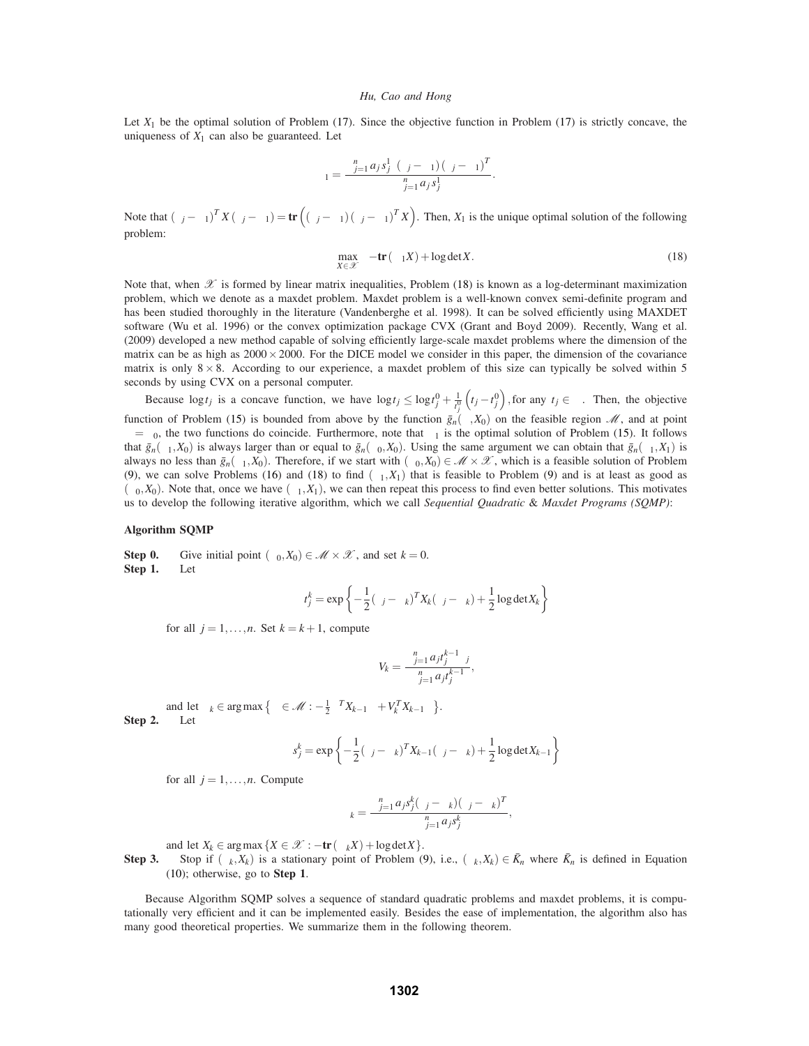Let  $X_1$  be the optimal solution of Problem (17). Since the objective function in Problem (17) is strictly concave, the uniqueness of  $X_1$  can also be guaranteed. Let

$$
\Pi_1 = \frac{\sum_{j=1}^n a_j s_j^1 (\xi_j - \mu_1) (\xi_j - \mu_1)^T}{\sum_{j=1}^n a_j s_j^1}
$$

Note that  $(\xi_j - \mu_1)^T X (\xi_j - \mu_1) = \text{tr} \left( (\xi_j - \mu_1) (\xi_j - \mu_1)^T X \right)$ . Then,  $X_1$  is the unique optimal solution of the following problem:

$$
\max_{X \in \mathcal{X}} -\mathbf{tr}(\Pi_1 X) + \log \det X. \tag{18}
$$

.

Note that, when  $\mathscr X$  is formed by linear matrix inequalities, Problem (18) is known as a log-determinant maximization problem, which we denote as a maxdet problem. Maxdet problem is a well-known convex semi-definite program and has been studied thoroughly in the literature (Vandenberghe et al. 1998). It can be solved efficiently using MAXDET software (Wu et al. 1996) or the convex optimization package CVX (Grant and Boyd 2009). Recently, Wang et al. (2009) developed a new method capable of solving efficiently large-scale maxdet problems where the dimension of the matrix can be as high as  $2000 \times 2000$ . For the DICE model we consider in this paper, the dimension of the covariance matrix is only  $8 \times 8$ . According to our experience, a maxdet problem of this size can typically be solved within 5 seconds by using CVX on a personal computer.

Because  $\log t_j$  is a concave function, we have  $\log t_j \leq \log t_j^0 + \frac{1}{t_j^0}$  $(t_j - t_j^0)$ , for any  $t_j \in \Re$ . Then, the objective function of Problem (15) is bounded from above by the function  $\bar{g}_n(\mu, X_0)$  on the feasible region  $\mathcal{M}$ , and at point  $\mu = \mu_0$ , the two functions do coincide. Furthermore, note that  $\mu_1$  is the optimal solution of Problem (15). It follows that  $\bar{g}_n(\mu_1, X_0)$  is always larger than or equal to  $\bar{g}_n(\mu_0, X_0)$ . Using the same argument we can obtain that  $\bar{g}_n(\mu_1, X_1)$  is always no less than  $\bar{g}_n(\mu_1, X_0)$ . Therefore, if we start with  $(\mu_0, X_0) \in \mathcal{M} \times \mathcal{X}$ , which is a feasible solution of Problem (9), we can solve Problems (16) and (18) to find  $(\mu_1, X_1)$  that is feasible to Problem (9) and is at least as good as  $(\mu_0, X_0)$ . Note that, once we have  $(\mu_1, X_1)$ , we can then repeat this process to find even better solutions. This motivates us to develop the following iterative algorithm, which we call *Sequential Quadratic* & *Maxdet Programs (SQMP)*:

### **Algorithm SQMP**

**Step 0.** Give initial point  $(\mu_0, X_0) \in \mathcal{M} \times \mathcal{X}$ , and set  $k = 0$ . **Step 1.** Let

$$
t_j^k = \exp\left\{-\frac{1}{2}(\xi_j - \mu_k)^T X_k(\xi_j - \mu_k) + \frac{1}{2}\log\det X_k\right\}
$$

for all  $j = 1, \ldots, n$ . Set  $k = k + 1$ , compute

$$
V_k = \frac{\sum_{j=1}^n a_j t_j^{k-1} \xi_j}{\sum_{j=1}^n a_j t_j^{k-1}},
$$

and let  $\mu_k \in \arg \max \{ \mu \in \mathcal{M} : -\frac{1}{2} \mu^T X_{k-1} \mu + V_k^T X_{k-1} \mu \}.$ **Step 2.** Let

$$
s_j^k = \exp\left\{-\frac{1}{2}(\xi_j - \mu_k)^T X_{k-1}(\xi_j - \mu_k) + \frac{1}{2}\log\det X_{k-1}\right\}
$$

for all  $j = 1, \ldots, n$ . Compute

$$
\Pi_k = \frac{\sum_{j=1}^n a_j s_j^k (\xi_j - \mu_k)(\xi_j - \mu_k)^T}{\sum_{j=1}^n a_j s_j^k},
$$

and let  $X_k \in \arg \max \{ X \in \mathcal{X} : -\mathbf{tr}(\Pi_k X) + \log \det X \}.$ 

**Step 3.** Stop if  $(\mu_k, X_k)$  is a stationary point of Problem (9), i.e.,  $(\mu_k, X_k) \in \overline{K}_n$  where  $\overline{K}_n$  is defined in Equation (10); otherwise, go to **Step 1**.

Because Algorithm SQMP solves a sequence of standard quadratic problems and maxdet problems, it is computationally very efficient and it can be implemented easily. Besides the ease of implementation, the algorithm also has many good theoretical properties. We summarize them in the following theorem.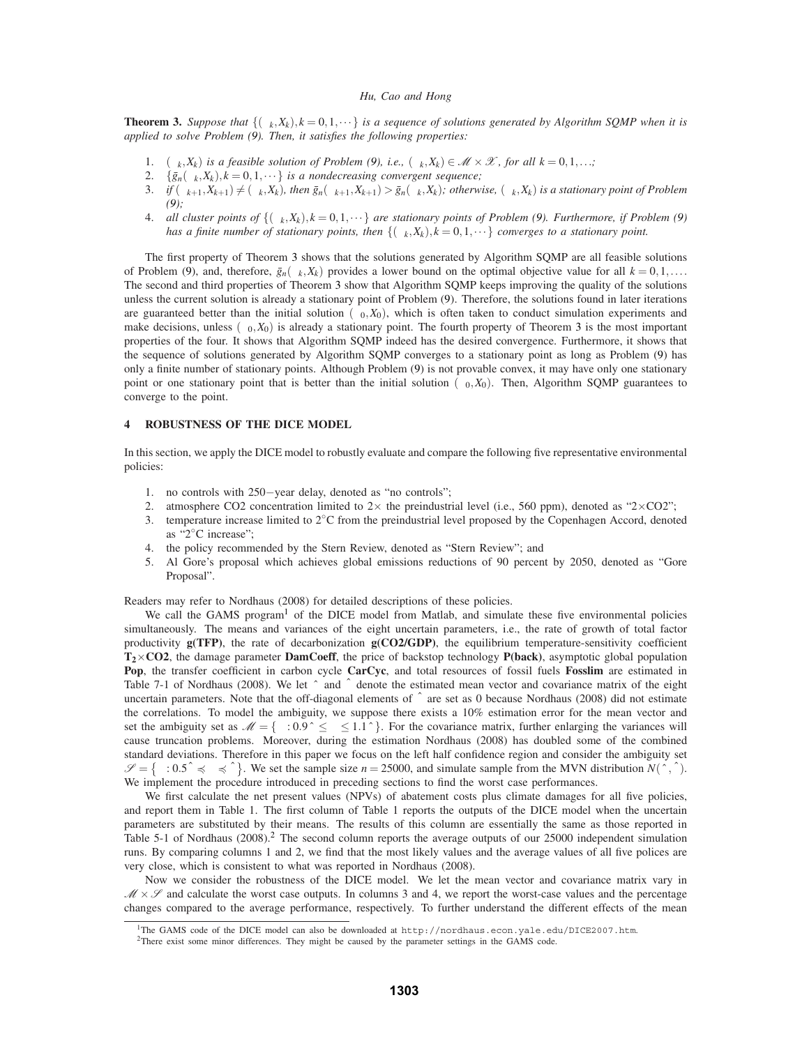**Theorem 3.** Suppose that  $\{(\mu_k, X_k), k = 0, 1, \dots\}$  is a sequence of solutions generated by Algorithm SOMP when it is *applied to solve Problem (9). Then, it satisfies the following properties:*

- 1.  $(\mu_k, X_k)$  *is a feasible solution of Problem (9), i.e.,*  $(\mu_k, X_k) \in \mathcal{M} \times \mathcal{X}$ *, for all*  $k = 0, 1, \ldots;$
- 2.  $\{\bar{g}_n(\mu_k, X_k), k = 0, 1, \dots\}$  *is a nondecreasing convergent sequence*;
- 3. if  $(\mu_{k+1}, X_{k+1}) \neq (\mu_k, X_k)$ , then  $\bar{g}_n(\mu_{k+1}, X_{k+1}) > \bar{g}_n(\mu_k, X_k)$ ; otherwise,  $(\mu_k, X_k)$  is a stationary point of Problem *(9);*
- 4. *all cluster points of*  $\{(\mu_k, X_k), k = 0, 1, \dots\}$  *are stationary points of Problem (9). Furthermore, if Problem (9) has a finite number of stationary points, then*  $\{(µ_k, X_k), k = 0, 1, \dots\}$  *converges to a stationary point.*

The first property of Theorem 3 shows that the solutions generated by Algorithm SQMP are all feasible solutions of Problem (9), and, therefore,  $\bar{g}_n(\mu_k, X_k)$  provides a lower bound on the optimal objective value for all  $k = 0, 1, \ldots$ . The second and third properties of Theorem 3 show that Algorithm SQMP keeps improving the quality of the solutions unless the current solution is already a stationary point of Problem (9). Therefore, the solutions found in later iterations are guaranteed better than the initial solution  $(\mu_0, X_0)$ , which is often taken to conduct simulation experiments and make decisions, unless  $(\mu_0, X_0)$  is already a stationary point. The fourth property of Theorem 3 is the most important properties of the four. It shows that Algorithm SQMP indeed has the desired convergence. Furthermore, it shows that the sequence of solutions generated by Algorithm SQMP converges to a stationary point as long as Problem (9) has only a finite number of stationary points. Although Problem (9) is not provable convex, it may have only one stationary point or one stationary point that is better than the initial solution  $(\mu_0, X_0)$ . Then, Algorithm SQMP guarantees to converge to the point.

# **4 ROBUSTNESS OF THE DICE MODEL**

In this section, we apply the DICE model to robustly evaluate and compare the following five representative environmental policies:

- 1. no controls with 250−year delay, denoted as "no controls";
- 2. atmosphere CO2 concentration limited to  $2 \times$  the preindustrial level (i.e., 560 ppm), denoted as "2×CO2";
- 3. temperature increase limited to 2◦C from the preindustrial level proposed by the Copenhagen Accord, denoted as "2◦C increase";
- 4. the policy recommended by the Stern Review, denoted as "Stern Review"; and
- 5. Al Gore's proposal which achieves global emissions reductions of 90 percent by 2050, denoted as "Gore Proposal".

Readers may refer to Nordhaus (2008) for detailed descriptions of these policies.

We call the GAMS program<sup>1</sup> of the DICE model from Matlab, and simulate these five environmental policies simultaneously. The means and variances of the eight uncertain parameters, i.e., the rate of growth of total factor productivity **g(TFP)**, the rate of decarbonization **g(CO2/GDP)**, the equilibrium temperature-sensitivity coefficient **T2**×**CO2**, the damage parameter **DamCoeff**, the price of backstop technology **P(back)**, asymptotic global population **Pop**, the transfer coefficient in carbon cycle **CarCyc**, and total resources of fossil fuels **Fosslim** are estimated in Table 7-1 of Nordhaus (2008). We let  $\hat{\mu}$  and  $\hat{\Sigma}$  denote the estimated mean vector and covariance matrix of the eight uncertain parameters. Note that the off-diagonal elements of  $\hat{\Sigma}$  are set as 0 because Nordhaus (2008) did not estimate the correlations. To model the ambiguity, we suppose there exists a 10% estimation error for the mean vector and set the ambiguity set as  $\mathcal{M} = {\mu : 0.9\hat{\mu} \leq \mu \leq 1.1\hat{\mu}}$ . For the covariance matrix, further enlarging the variances will cause truncation problems. Moreover, during the estimation Nordhaus (2008) has doubled some of the combined standard deviations. Therefore in this paper we focus on the left half confidence region and consider the ambiguity set  $\mathscr{S} = \{ \Sigma : 0.5\hat{\Sigma} \preccurlyeq \Sigma \preccurlyeq \hat{\Sigma} \}$ . We set the sample size  $n = 25000$ , and simulate sample from the MVN distribution  $N(\hat{\mu}, \hat{\Sigma})$ . We implement the procedure introduced in preceding sections to find the worst case performances.

We first calculate the net present values (NPVs) of abatement costs plus climate damages for all five policies, and report them in Table 1. The first column of Table 1 reports the outputs of the DICE model when the uncertain parameters are substituted by their means. The results of this column are essentially the same as those reported in Table 5-1 of Nordhaus (2008).<sup>2</sup> The second column reports the average outputs of our 25000 independent simulation runs. By comparing columns 1 and 2, we find that the most likely values and the average values of all five polices are very close, which is consistent to what was reported in Nordhaus (2008).

Now we consider the robustness of the DICE model. We let the mean vector and covariance matrix vary in  $M \times S$  and calculate the worst case outputs. In columns 3 and 4, we report the worst-case values and the percentage changes compared to the average performance, respectively. To further understand the different effects of the mean

<sup>1</sup>The GAMS code of the DICE model can also be downloaded at http://nordhaus.econ.yale.edu/DICE2007.htm.

<sup>&</sup>lt;sup>2</sup>There exist some minor differences. They might be caused by the parameter settings in the GAMS code.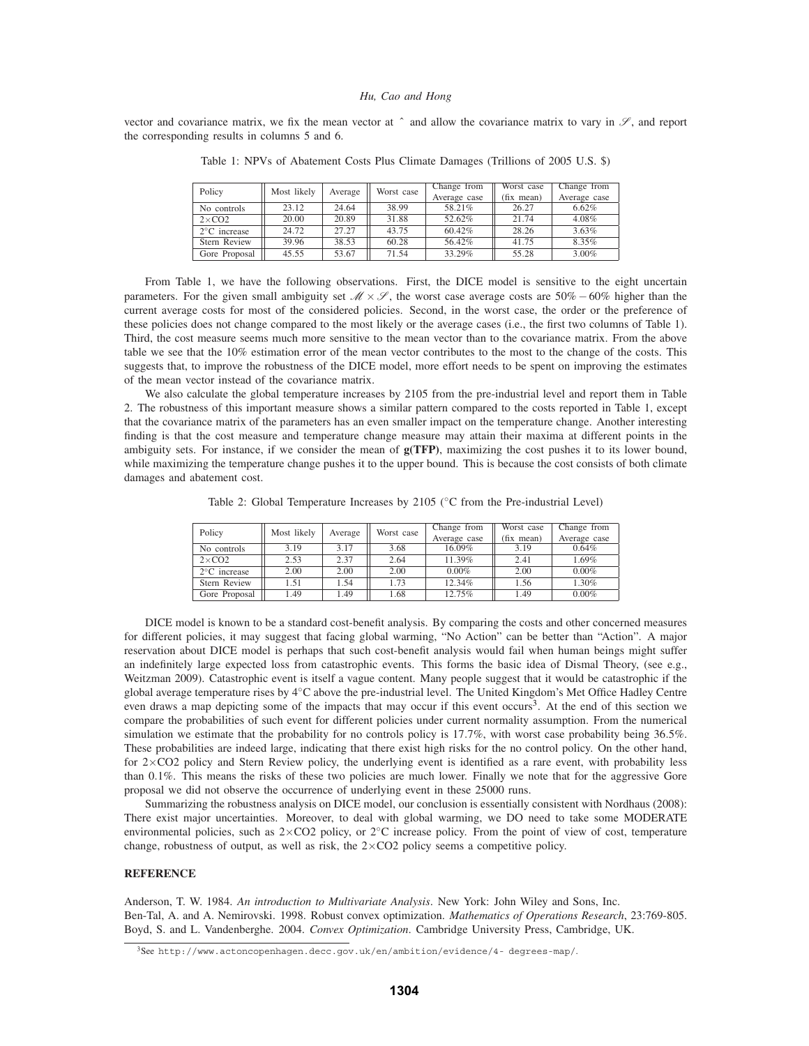vector and covariance matrix, we fix the mean vector at  $\hat{\mu}$  and allow the covariance matrix to vary in  $\mathscr{S}$ , and report the corresponding results in columns 5 and 6.

| Policy                    | Most likely | Average | Worst case | Change from  | Worst case | Change from  |
|---------------------------|-------------|---------|------------|--------------|------------|--------------|
|                           |             |         |            | Average case | (fix mean) | Average case |
| No controls               | 23.12       | 24.64   | 38.99      | 58.21%       | 26.27      | $6.62\%$     |
| $2\times$ CO <sub>2</sub> | 20.00       | 20.89   | 31.88      | 52.62%       | 21.74      | 4.08%        |
| $2^{\circ}$ C increase    | 24.72       | 27.27   | 43.75      | 60.42%       | 28.26      | 3.63%        |
| Stern Review              | 39.96       | 38.53   | 60.28      | 56.42%       | 41.75      | 8.35%        |
| Gore Proposal             | 45.55       | 53.67   | 71.54      | 33.29%       | 55.28      | 3.00%        |

Table 1: NPVs of Abatement Costs Plus Climate Damages (Trillions of 2005 U.S. \$)

From Table 1, we have the following observations. First, the DICE model is sensitive to the eight uncertain parameters. For the given small ambiguity set  $\mathcal{M} \times \mathcal{S}$ , the worst case average costs are 50% −60% higher than the current average costs for most of the considered policies. Second, in the worst case, the order or the preference of these policies does not change compared to the most likely or the average cases (i.e., the first two columns of Table 1). Third, the cost measure seems much more sensitive to the mean vector than to the covariance matrix. From the above table we see that the 10% estimation error of the mean vector contributes to the most to the change of the costs. This suggests that, to improve the robustness of the DICE model, more effort needs to be spent on improving the estimates of the mean vector instead of the covariance matrix.

We also calculate the global temperature increases by 2105 from the pre-industrial level and report them in Table 2. The robustness of this important measure shows a similar pattern compared to the costs reported in Table 1, except that the covariance matrix of the parameters has an even smaller impact on the temperature change. Another interesting finding is that the cost measure and temperature change measure may attain their maxima at different points in the ambiguity sets. For instance, if we consider the mean of **g(TFP)**, maximizing the cost pushes it to its lower bound, while maximizing the temperature change pushes it to the upper bound. This is because the cost consists of both climate damages and abatement cost.

Table 2: Global Temperature Increases by 2105 (◦C from the Pre-industrial Level)

| Policy                    | Most likely | Average | Worst case | Change from  | Worst case | Change from  |
|---------------------------|-------------|---------|------------|--------------|------------|--------------|
|                           |             |         |            | Average case | (fix mean) | Average case |
| No controls               | 3.19        | 3 1 7   | 3.68       | 16.09%       | 3.19       | 0.64%        |
| $2\times$ CO <sub>2</sub> | 2.53        | 2.37    | 2.64       | 11.39%       | 2.41       | 1.69%        |
| $2^{\circ}$ C increase    | 2.00        | 2.00    | 2.00       | $0.00\%$     | 2.00       | 0.00%        |
| Stern Review              | 1.51        | 1.54    | 1.73       | 12.34%       | 1.56       | 1.30%        |
| Gore Proposal             | 1.49        | 1.49    | 1.68       | 12.75%       | 1.49       | 0.00%        |

DICE model is known to be a standard cost-benefit analysis. By comparing the costs and other concerned measures for different policies, it may suggest that facing global warming, "No Action" can be better than "Action". A major reservation about DICE model is perhaps that such cost-benefit analysis would fail when human beings might suffer an indefinitely large expected loss from catastrophic events. This forms the basic idea of Dismal Theory, (see e.g., Weitzman 2009). Catastrophic event is itself a vague content. Many people suggest that it would be catastrophic if the global average temperature rises by 4◦C above the pre-industrial level. The United Kingdom's Met Office Hadley Centre even draws a map depicting some of the impacts that may occur if this event occurs<sup>3</sup>. At the end of this section we compare the probabilities of such event for different policies under current normality assumption. From the numerical simulation we estimate that the probability for no controls policy is 17.7%, with worst case probability being 36.5%. These probabilities are indeed large, indicating that there exist high risks for the no control policy. On the other hand, for 2×CO2 policy and Stern Review policy, the underlying event is identified as a rare event, with probability less than 0.1%. This means the risks of these two policies are much lower. Finally we note that for the aggressive Gore proposal we did not observe the occurrence of underlying event in these 25000 runs.

Summarizing the robustness analysis on DICE model, our conclusion is essentially consistent with Nordhaus (2008): There exist major uncertainties. Moreover, to deal with global warming, we DO need to take some MODERATE environmental policies, such as  $2\times$ CO2 policy, or  $2°C$  increase policy. From the point of view of cost, temperature change, robustness of output, as well as risk, the  $2 \times CO2$  policy seems a competitive policy.

# **REFERENCE**

Anderson, T. W. 1984. *An introduction to Multivariate Analysis*. New York: John Wiley and Sons, Inc. Ben-Tal, A. and A. Nemirovski. 1998. Robust convex optimization. *Mathematics of Operations Research*, 23:769-805. Boyd, S. and L. Vandenberghe. 2004. *Convex Optimization*. Cambridge University Press, Cambridge, UK.

<sup>3</sup>See http://www.actoncopenhagen.decc.gov.uk/en/ambition/evidence/4- degrees-map/.